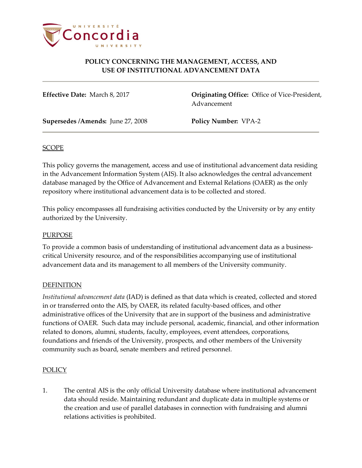

# **POLICY CONCERNING THE MANAGEMENT, ACCESS, AND USE OF INSTITUTIONAL ADVANCEMENT DATA**

**Effective Date:** March 8, 2017 **Originating Office:** Office of Vice-President, Advancement

**Supersedes /Amends:** June 27, 2008 **Policy Number:** VPA-2

### SCOPE

This policy governs the management, access and use of institutional advancement data residing in the Advancement Information System (AIS). It also acknowledges the central advancement database managed by the Office of Advancement and External Relations (OAER) as the only repository where institutional advancement data is to be collected and stored.

This policy encompasses all fundraising activities conducted by the University or by any entity authorized by the University.

#### PURPOSE

To provide a common basis of understanding of institutional advancement data as a businesscritical University resource, and of the responsibilities accompanying use of institutional advancement data and its management to all members of the University community.

### **DEFINITION**

*Institutional advancement data* (IAD) is defined as that data which is created, collected and stored in or transferred onto the AIS, by OAER, its related faculty-based offices, and other administrative offices of the University that are in support of the business and administrative functions of OAER. Such data may include personal, academic, financial, and other information related to donors, alumni, students, faculty, employees, event attendees, corporations, foundations and friends of the University, prospects, and other members of the University community such as board, senate members and retired personnel.

#### POLICY

1. The central AIS is the only official University database where institutional advancement data should reside. Maintaining redundant and duplicate data in multiple systems or the creation and use of parallel databases in connection with fundraising and alumni relations activities is prohibited.